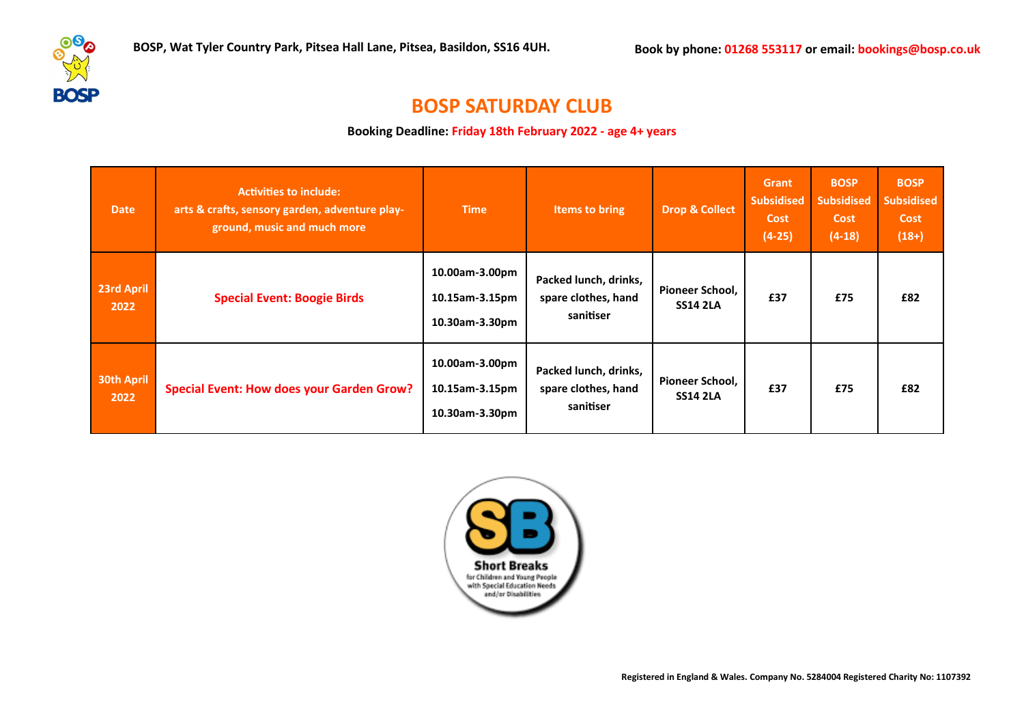

## **BOSP SATURDAY CLUB**

**Booking Deadline: Friday 18th February 2022 - age 4+ years**

| <b>Date</b>               | <b>Activities to include:</b><br>arts & crafts, sensory garden, adventure play-<br>ground, music and much more | <b>Time</b>                                        | Items to bring                                            | <b>Drop &amp; Collect</b>          | Grant<br><b>Subsidised</b><br><b>Cost</b><br>$(4-25)$ | <b>BOSP</b><br><b>Subsidised</b><br>Cost<br>$(4-18)$ | <b>BOSP</b><br><b>Subsidised</b><br><b>Cost</b><br>$(18+)$ |
|---------------------------|----------------------------------------------------------------------------------------------------------------|----------------------------------------------------|-----------------------------------------------------------|------------------------------------|-------------------------------------------------------|------------------------------------------------------|------------------------------------------------------------|
| 23rd April<br>2022        | <b>Special Event: Boogie Birds</b>                                                                             | 10.00am-3.00pm<br>10.15am-3.15pm<br>10.30am-3.30pm | Packed lunch, drinks,<br>spare clothes, hand<br>sanitiser | Pioneer School,<br><b>SS14 2LA</b> | £37                                                   | £75                                                  | £82                                                        |
| <b>30th April</b><br>2022 | <b>Special Event: How does your Garden Grow?</b>                                                               | 10.00am-3.00pm<br>10.15am-3.15pm<br>10.30am-3.30pm | Packed lunch, drinks,<br>spare clothes, hand<br>sanitiser | Pioneer School,<br><b>SS14 2LA</b> | £37                                                   | £75                                                  | £82                                                        |

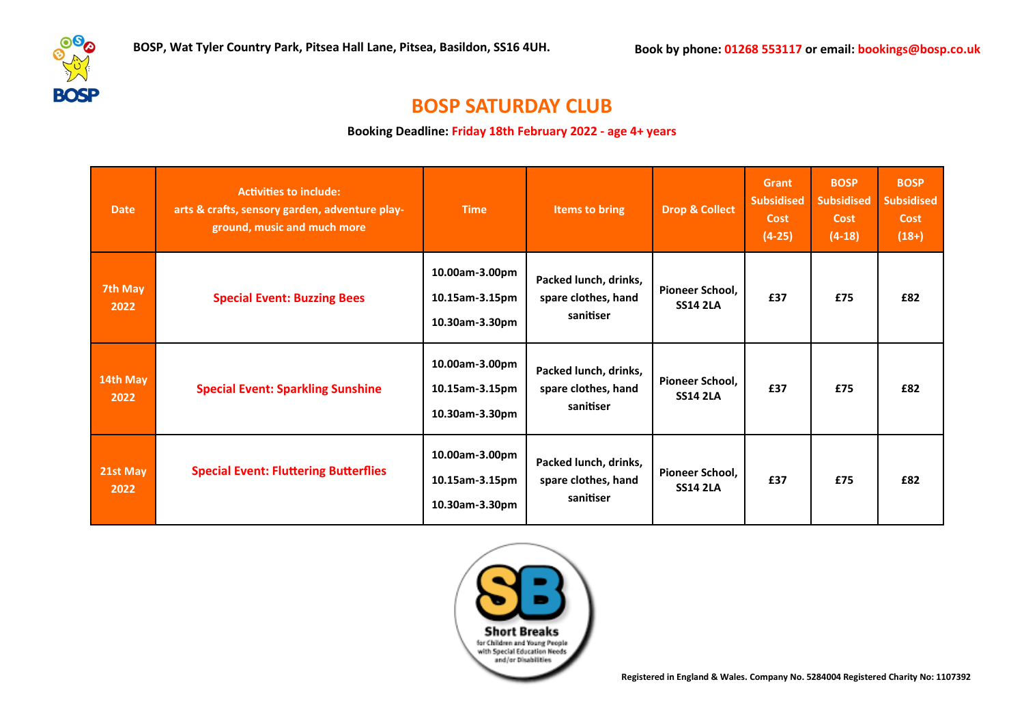

## **BOSP SATURDAY CLUB**

**Booking Deadline: Friday 18th February 2022 - age 4+ years**

| <b>Date</b>      | <b>Activities to include:</b><br>arts & crafts, sensory garden, adventure play-<br>ground, music and much more | <b>Time</b>                                        | Items to bring                                            | <b>Drop &amp; Collect</b>                 | <b>Grant</b><br><b>Subsidised</b><br><b>Cost</b><br>$(4-25)$ | <b>BOSP</b><br><b>Subsidised</b><br><b>Cost</b><br>$(4-18)$ | <b>BOSP</b><br><b>Subsidised</b><br><b>Cost</b><br>$(18+)$ |
|------------------|----------------------------------------------------------------------------------------------------------------|----------------------------------------------------|-----------------------------------------------------------|-------------------------------------------|--------------------------------------------------------------|-------------------------------------------------------------|------------------------------------------------------------|
| 7th May<br>2022  | <b>Special Event: Buzzing Bees</b>                                                                             | 10.00am-3.00pm<br>10.15am-3.15pm<br>10.30am-3.30pm | Packed lunch, drinks,<br>spare clothes, hand<br>sanitiser | <b>Pioneer School.</b><br><b>SS14 2LA</b> | £37                                                          | £75                                                         | £82                                                        |
| 14th May<br>2022 | <b>Special Event: Sparkling Sunshine</b>                                                                       | 10.00am-3.00pm<br>10.15am-3.15pm<br>10.30am-3.30pm | Packed lunch, drinks,<br>spare clothes, hand<br>sanitiser | Pioneer School,<br><b>SS14 2LA</b>        | £37                                                          | £75                                                         | £82                                                        |
| 21st May<br>2022 | <b>Special Event: Fluttering Butterflies</b>                                                                   | 10.00am-3.00pm<br>10.15am-3.15pm<br>10.30am-3.30pm | Packed lunch, drinks,<br>spare clothes, hand<br>sanitiser | Pioneer School,<br><b>SS14 2LA</b>        | £37                                                          | £75                                                         | £82                                                        |